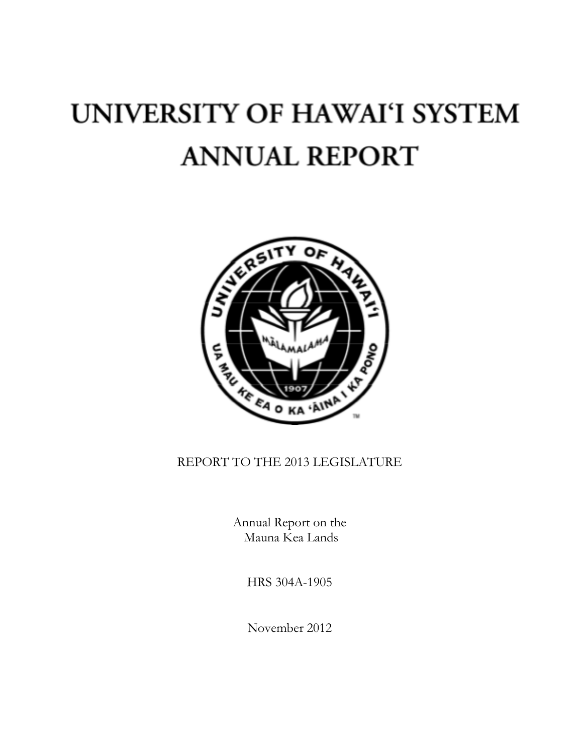# UNIVERSITY OF HAWAI'I SYSTEM **ANNUAL REPORT**



# REPORT TO THE 2013 LEGISLATURE

Annual Report on the Mauna Kea Lands

HRS 304A-1905

November 2012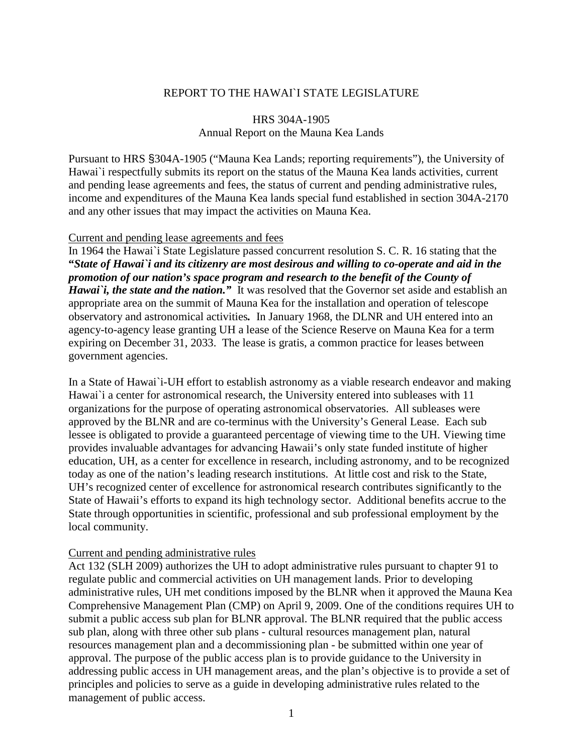## REPORT TO THE HAWAIN STATE LEGISLATURE

# HRS 304A-1905 Annual Report on the Mauna Kea Lands

Pursuant to HRS §304A-1905 ("Mauna Kea Lands; reporting requirements"), the University of Hawai`i respectfully submits its report on the status of the Mauna Kea lands activities, current and pending lease agreements and fees, the status of current and pending administrative rules, income and expenditures of the Mauna Kea lands special fund established in section 304A-2170 and any other issues that may impact the activities on Mauna Kea.

#### Current and pending lease agreements and fees

In 1964 the Hawai`i State Legislature passed concurrent resolution S. C. R. 16 stating that the **"***State of Hawai`i and its citizenry are most desirous and willing to co-operate and aid in the promotion of our nation's space program and research to the benefit of the County of Hawai*'*i*, *the state and the nation.*" It was resolved that the Governor set aside and establish an appropriate area on the summit of Mauna Kea for the installation and operation of telescope observatory and astronomical activities*.* In January 1968, the DLNR and UH entered into an agency-to-agency lease granting UH a lease of the Science Reserve on Mauna Kea for a term expiring on December 31, 2033. The lease is gratis, a common practice for leases between government agencies.

In a State of Hawai`i-UH effort to establish astronomy as a viable research endeavor and making Hawai'i a center for astronomical research, the University entered into subleases with 11 organizations for the purpose of operating astronomical observatories. All subleases were approved by the BLNR and are co-terminus with the University's General Lease. Each sub lessee is obligated to provide a guaranteed percentage of viewing time to the UH. Viewing time provides invaluable advantages for advancing Hawaii's only state funded institute of higher education, UH, as a center for excellence in research, including astronomy, and to be recognized today as one of the nation's leading research institutions. At little cost and risk to the State, UH's recognized center of excellence for astronomical research contributes significantly to the State of Hawaii's efforts to expand its high technology sector. Additional benefits accrue to the State through opportunities in scientific, professional and sub professional employment by the local community.

#### Current and pending administrative rules

Act 132 (SLH 2009) authorizes the UH to adopt administrative rules pursuant to chapter 91 to regulate public and commercial activities on UH management lands. Prior to developing administrative rules, UH met conditions imposed by the BLNR when it approved the Mauna Kea Comprehensive Management Plan (CMP) on April 9, 2009. One of the conditions requires UH to submit a public access sub plan for BLNR approval. The BLNR required that the public access sub plan, along with three other sub plans - cultural resources management plan, natural resources management plan and a decommissioning plan - be submitted within one year of approval. The purpose of the public access plan is to provide guidance to the University in addressing public access in UH management areas, and the plan's objective is to provide a set of principles and policies to serve as a guide in developing administrative rules related to the management of public access.